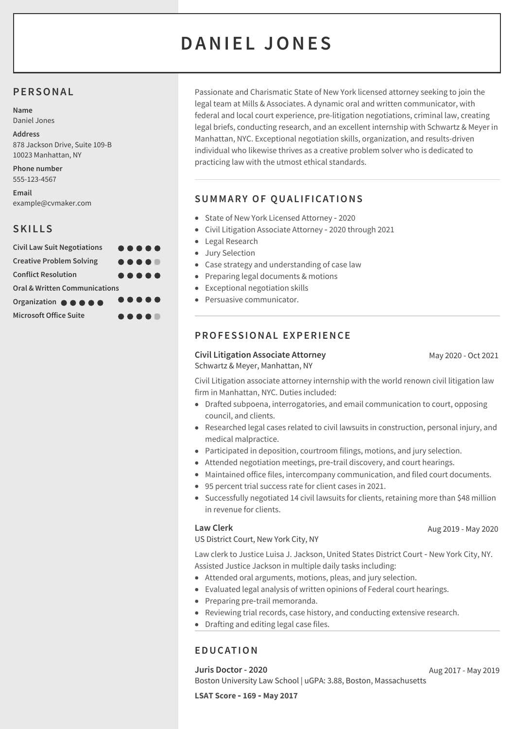# **DANI E L JONE S**

#### **PERSONAL**

**Name** Daniel Jones

**Address** 878 Jackson Drive, Suite 109-B 10023 Manhattan, NY

**Phone number** 555-123-4567

**Email** example@cvmaker.com

## **SKILLS**

| <b>Civil Law Suit Negotiations</b>       | $\begin{array}{ccccccccccccccccc} \bullet & \bullet & \bullet & \bullet & \bullet & \bullet & \bullet \end{array}$ |  |  |
|------------------------------------------|--------------------------------------------------------------------------------------------------------------------|--|--|
| <b>Creative Problem Solving</b>          |                                                                                                                    |  |  |
| <b>Conflict Resolution</b>               | $\begin{array}{ccccccccccccccccc} \bullet & \bullet & \bullet & \bullet & \bullet & \bullet & \bullet \end{array}$ |  |  |
| <b>Oral &amp; Written Communications</b> |                                                                                                                    |  |  |
| Organization <b>@ @ @ @ @</b>            | $\bullet\bullet\bullet\bullet\bullet$                                                                              |  |  |
| <b>Microsoft Office Suite</b>            |                                                                                                                    |  |  |

Passionate and Charismatic State of New York licensed attorney seeking to join the legal team at Mills & Associates. A dynamic oral and written communicator, with federal and local court experience, pre-litigation negotiations, criminal law, creating legal briefs, conducting research, and an excellent internship with Schwartz & Meyer in Manhattan, NYC. Exceptional negotiation skills, organization, and results-driven individual who likewise thrives as a creative problem solver who is dedicated to practicing law with the utmost ethical standards.

## **SUMMARY OF QUAL IF ICATIONS**

- State of New York Licensed Attorney 2020
- Civil Litigation Associate Attorney ‑ 2020 through 2021
- Legal Research
- Jury Selection
- Case strategy and understanding of case law
- Preparing legal documents & motions
- Exceptional negotiation skills
- Persuasive communicator.

## **PROFESSIONAL EXPERIENCE**

**Civil Litigation Associate Attorney** Schwartz & Meyer, Manhattan, NY

May 2020 - Oct 2021

Civil Litigation associate attorney internship with the world renown civil litigation law firm in Manhattan, NYC. Duties included:

- Drafted subpoena, interrogatories, and email communication to court, opposing council, and clients.
- Researched legal cases related to civil lawsuits in construction, personal injury, and medical malpractice.
- Participated in deposition, courtroom filings, motions, and jury selection.
- Attended negotiation meetings, pre-trail discovery, and court hearings.
- Maintained office files, intercompany communication, and filed court documents.
- 95 percent trial success rate for client cases in 2021.
- Successfully negotiated 14 civil lawsuits for clients, retaining more than \$48 million in revenue for clients.

#### **Law Clerk**

US District Court, New York City, NY

Law clerk to Justice Luisa J. Jackson, United States District Court ‑ New York City, NY. Assisted Justice Jackson in multiple daily tasks including:

- Attended oral arguments, motions, pleas, and jury selection.
- Evaluated legal analysis of written opinions of Federal court hearings.
- Preparing pre-trail memoranda.
- Reviewing trial records, case history, and conducting extensive research.
- Drafting and editing legal case files.

## **EDUCATION**

**Juris Doctor - 2020** Boston University Law School | uGPA: 3.88, Boston, Massachusetts Aug 2017 - May 2019

**LSAT Score ‑ 169 ‑ May 2017**

Aug 2019 - May 2020